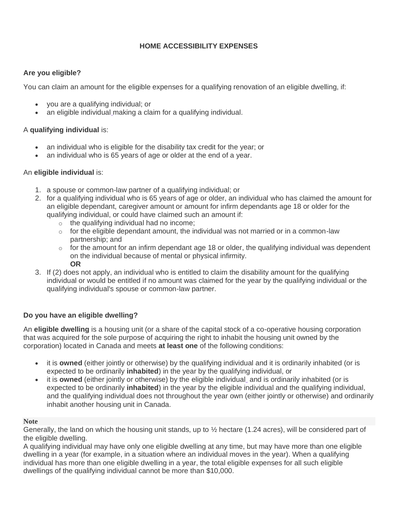# **HOME ACCESSIBILITY EXPENSES**

## **Are you eligible?**

You can claim an amount for the eligible expenses for a qualifying renovation of an eligible dwelling, if:

- you are a qualifying individual; or
- an eligible individual making a claim for a qualifying individual.

# A **qualifying individual** is:

- an individual who is eligible for the disability tax credit for the year; or
- an individual who is 65 years of age or older at the end of a year.

### An **eligible individual** is:

- 1. a spouse or common-law partner of a qualifying individual; or
- 2. for a qualifying individual who is 65 years of age or older, an individual who has claimed the amount for an eligible dependant, caregiver amount or amount for infirm dependants age 18 or older for the qualifying individual, or could have claimed such an amount if:
	- $\circ$  the qualifying individual had no income;
	- $\circ$  for the eligible dependant amount, the individual was not married or in a common-law partnership; and
	- $\circ$  for the amount for an infirm dependant age 18 or older, the qualifying individual was dependent on the individual because of mental or physical infirmity. **OR**
- 3. If (2) does not apply, an individual who is entitled to claim the disability amount for the qualifying individual or would be entitled if no amount was claimed for the year by the qualifying individual or the qualifying individual's spouse or common-law partner.

# **Do you have an eligible dwelling?**

An **eligible dwelling** is a housing unit (or a share of the capital stock of a co-operative housing corporation that was acquired for the sole purpose of acquiring the right to inhabit the housing unit owned by the corporation) located in Canada and meets **at least one** of the following conditions:

- it is **owned** (either jointly or otherwise) by the qualifying individual and it is ordinarily inhabited (or is expected to be ordinarily **inhabited**) in the year by the qualifying individual, or
- it is **owned** (either jointly or otherwise) by the eligible individual and is ordinarily inhabited (or is expected to be ordinarily **inhabited**) in the year by the eligible individual and the qualifying individual, and the qualifying individual does not throughout the year own (either jointly or otherwise) and ordinarily inhabit another housing unit in Canada.

### **Note**

Generally, the land on which the housing unit stands, up to ½ hectare (1.24 acres), will be considered part of the eligible dwelling.

A qualifying individual may have only one eligible dwelling at any time, but may have more than one eligible dwelling in a year (for example, in a situation where an individual moves in the year). When a qualifying individual has more than one eligible dwelling in a year, the total eligible expenses for all such eligible dwellings of the qualifying individual cannot be more than \$10,000.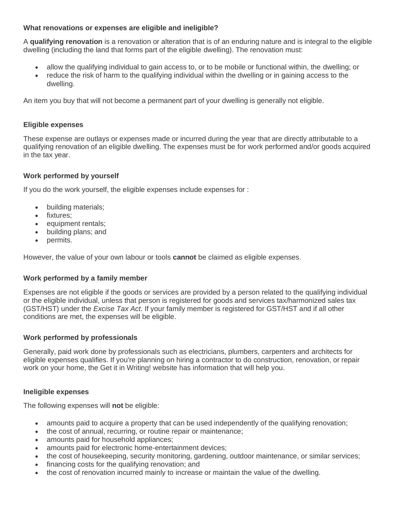## **What renovations or expenses are eligible and ineligible?**

A **qualifying renovation** is a renovation or alteration that is of an enduring nature and is integral to the eligible dwelling (including the land that forms part of the eligible dwelling). The renovation must:

- allow the qualifying individual to gain access to, or to be mobile or functional within, the dwelling; or
- reduce the risk of harm to the qualifying individual within the dwelling or in gaining access to the dwelling.

An item you buy that will not become a permanent part of your dwelling is generally not eligible.

### **Eligible expenses**

These expense are outlays or expenses made or incurred during the year that are directly attributable to a qualifying renovation of an eligible dwelling. The expenses must be for work performed and/or goods acquired in the tax year.

# **Work performed by yourself**

If you do the work yourself, the eligible expenses include expenses for :

- building materials;
- fixtures;
- equipment rentals:
- building plans; and
- permits.

However, the value of your own labour or tools **cannot** be claimed as eligible expenses.

### **Work performed by a family member**

Expenses are not eligible if the goods or services are provided by a person related to the qualifying individual or the eligible individual, unless that person is registered for goods and services tax/harmonized sales tax (GST/HST) under the *Excise Tax Act*. If your family member is registered for GST/HST and if all other conditions are met, the expenses will be eligible.

### **Work performed by professionals**

Generally, paid work done by professionals such as electricians, plumbers, carpenters and architects for eligible expenses qualifies. If you're planning on hiring a contractor to do construction, renovation, or repair work on your home, the Get it in Writing! website has information that will help you.

### **Ineligible expenses**

The following expenses will **not** be eligible:

- amounts paid to acquire a property that can be used independently of the qualifying renovation;
- the cost of annual, recurring, or routine repair or maintenance;
- amounts paid for household appliances;
- amounts paid for electronic home-entertainment devices:
- the cost of housekeeping, security monitoring, gardening, outdoor maintenance, or similar services;
- financing costs for the qualifying renovation; and
- the cost of renovation incurred mainly to increase or maintain the value of the dwelling.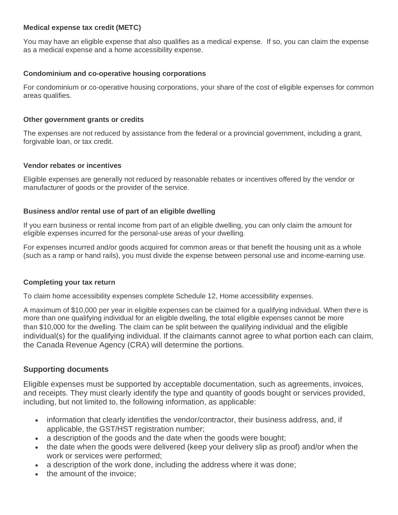#### **Medical expense tax credit (METC)**

You may have an eligible expense that also qualifies as a medical expense. If so, you can claim the expense as a medical expense and a home accessibility expense.

### **Condominium and co-operative housing corporations**

For condominium or co-operative housing corporations, your share of the cost of eligible expenses for common areas qualifies.

#### **Other government grants or credits**

The expenses are not reduced by assistance from the federal or a provincial government, including a grant, forgivable loan, or tax credit.

#### **Vendor rebates or incentives**

Eligible expenses are generally not reduced by reasonable rebates or incentives offered by the vendor or manufacturer of goods or the provider of the service.

### **Business and/or rental use of part of an eligible dwelling**

If you earn business or rental income from part of an eligible dwelling, you can only claim the amount for eligible expenses incurred for the personal-use areas of your dwelling.

For expenses incurred and/or goods acquired for common areas or that benefit the housing unit as a whole (such as a ramp or hand rails), you must divide the expense between personal use and income-earning use.

### **Completing your tax return**

To claim home accessibility expenses complete Schedule 12, Home accessibility expenses.

A maximum of \$10,000 per year in eligible expenses can be claimed for a qualifying individual. When there is more than one qualifying individual for an eligible dwelling, the total eligible expenses cannot be more than \$10,000 for the dwelling. The claim can be split between the qualifying individual and the eligible individual(s) for the qualifying individual. If the claimants cannot agree to what portion each can claim, the Canada Revenue Agency (CRA) will determine the portions.

### **Supporting documents**

Eligible expenses must be supported by acceptable documentation, such as agreements, invoices, and receipts. They must clearly identify the type and quantity of goods bought or services provided, including, but not limited to, the following information, as applicable:

- information that clearly identifies the vendor/contractor, their business address, and, if applicable, the GST/HST registration number;
- a description of the goods and the date when the goods were bought;
- the date when the goods were delivered (keep your delivery slip as proof) and/or when the work or services were performed;
- a description of the work done, including the address where it was done;
- the amount of the invoice;